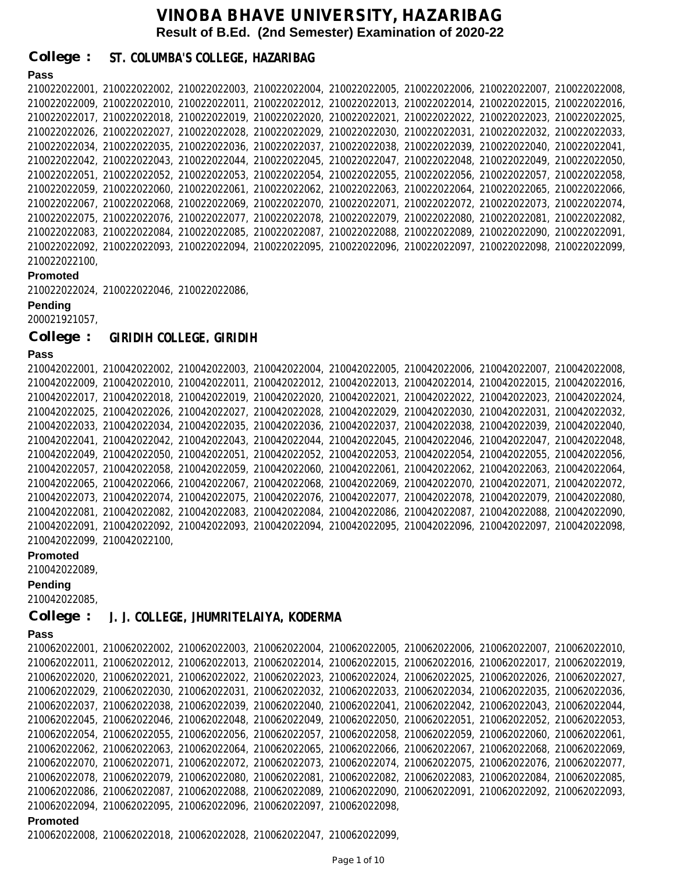**College : ST. COLUMBA'S COLLEGE, HAZARIBAG**

## **Pass**

|               | 210022022001, 210022022002, 210022022003, 210022022004, 210022022005, 210022022006, 210022022007, 210022022008, |  |  |  |
|---------------|-----------------------------------------------------------------------------------------------------------------|--|--|--|
|               | 210022022009, 210022022010, 210022022011, 210022022012, 210022022013, 210022022014, 210022022015, 210022022016, |  |  |  |
|               | 210022022017, 210022022018, 210022022019, 210022022020, 210022022021, 210022022022, 210022022023, 210022022025, |  |  |  |
|               | 210022022026, 210022022027, 210022022028, 210022022029, 210022022030, 210022022031, 210022022032, 210022022033, |  |  |  |
|               | 210022022034, 210022022035, 210022022036, 210022022037, 210022022038, 210022022039, 210022022040, 210022022041, |  |  |  |
|               | 210022022042, 210022022043, 210022022044, 210022022045, 210022022047, 210022022048, 210022022049, 210022022050, |  |  |  |
|               | 210022022051, 210022022052, 210022022053, 210022022054, 210022022055, 210022022056, 210022022057, 210022022058, |  |  |  |
|               | 210022022059, 210022022060, 210022022061, 210022022062, 210022022063, 210022022064, 210022022065, 210022022066, |  |  |  |
|               | 210022022067, 210022022068, 210022022069, 210022022070, 210022022071, 210022022072, 210022022073, 210022022074, |  |  |  |
|               | 210022022075, 210022022076, 210022022077, 210022022078, 210022022079, 210022022080, 210022022081, 210022022082, |  |  |  |
|               | 210022022083, 210022022084, 210022022085, 210022022087, 210022022088, 210022022089, 210022022090, 210022022091, |  |  |  |
|               | 210022022092, 210022022093, 210022022094, 210022022095, 210022022096, 210022022097, 210022022098, 210022022099, |  |  |  |
| 210022022100. |                                                                                                                 |  |  |  |

### **Promoted**

```
210022022024, 210022022046, 210022022086,
```
**Pending**

200021921057,

**College : GIRIDIH COLLEGE, GIRIDIH**

### **Pass**

```
210042022001, 210042022002, 210042022003, 210042022004, 210042022005, 210042022006, 210042022007, 210042022008,
210042022009, 210042022010, 210042022011, 210042022012, 210042022013, 210042022014, 210042022015, 210042022016,
210042022017, 210042022018, 210042022019, 210042022020, 210042022021, 210042022022, 210042022023, 210042022024,
210042022025, 210042022026, 210042022027, 210042022028, 210042022029, 210042022030, 210042022031, 210042022032,
210042022033, 210042022034, 210042022035, 210042022036, 210042022037, 210042022038, 210042022039, 210042022040,
210042022041, 210042022042, 210042022043, 210042022044, 210042022045, 210042022046, 210042022047, 210042022048,
210042022049, 210042022050, 210042022051, 210042022052, 210042022053, 210042022054, 210042022055, 210042022056,
210042022057, 210042022058, 210042022059, 210042022060, 210042022061, 210042022062, 210042022063, 210042022064,
210042022065, 210042022066, 210042022067, 210042022068, 210042022069, 210042022070, 210042022071, 210042022072,
210042022073, 210042022074, 210042022075, 210042022076, 210042022077, 210042022078, 210042022079, 210042022080,
210042022081, 210042022082, 210042022083, 210042022084, 210042022086, 210042022087, 210042022088, 210042022090,
210042022091, 210042022092, 210042022093, 210042022094, 210042022095, 210042022096, 210042022097, 210042022098,
210042022099, 210042022100,
```
#### **Promoted**

210042022089,

#### **Pending**

210042022085,

#### **College : J. J. COLLEGE, JHUMRITELAIYA, KODERMA**

## **Pass**

```
Promoted
210062022001, 210062022002, 210062022003, 210062022004, 210062022005, 210062022006, 210062022007, 210062022010,
210062022011, 210062022012, 210062022013, 210062022014, 210062022015, 210062022016, 210062022017, 210062022019,
210062022020, 210062022021, 210062022022, 210062022023, 210062022024, 210062022025, 210062022026, 210062022027,
210062022029, 210062022030, 210062022031, 210062022032, 210062022033, 210062022034, 210062022035, 210062022036,
210062022037, 210062022038, 210062022039, 210062022040, 210062022041, 210062022042, 210062022043, 210062022044,
210062022045, 210062022046, 210062022048, 210062022049, 210062022050, 210062022051, 210062022052, 210062022053,
210062022054, 210062022055, 210062022056, 210062022057, 210062022058, 210062022059, 210062022060, 210062022061,
210062022062, 210062022063, 210062022064, 210062022065, 210062022066, 210062022067, 210062022068, 210062022069,
210062022070, 210062022071, 210062022072, 210062022073, 210062022074, 210062022075, 210062022076, 210062022077,
210062022078, 210062022079, 210062022080, 210062022081, 210062022082, 210062022083, 210062022084, 210062022085,
210062022086, 210062022087, 210062022088, 210062022089, 210062022090, 210062022091, 210062022092, 210062022093,
210062022094, 210062022095, 210062022096, 210062022097, 210062022098,
```
210062022008, 210062022018, 210062022028, 210062022047, 210062022099,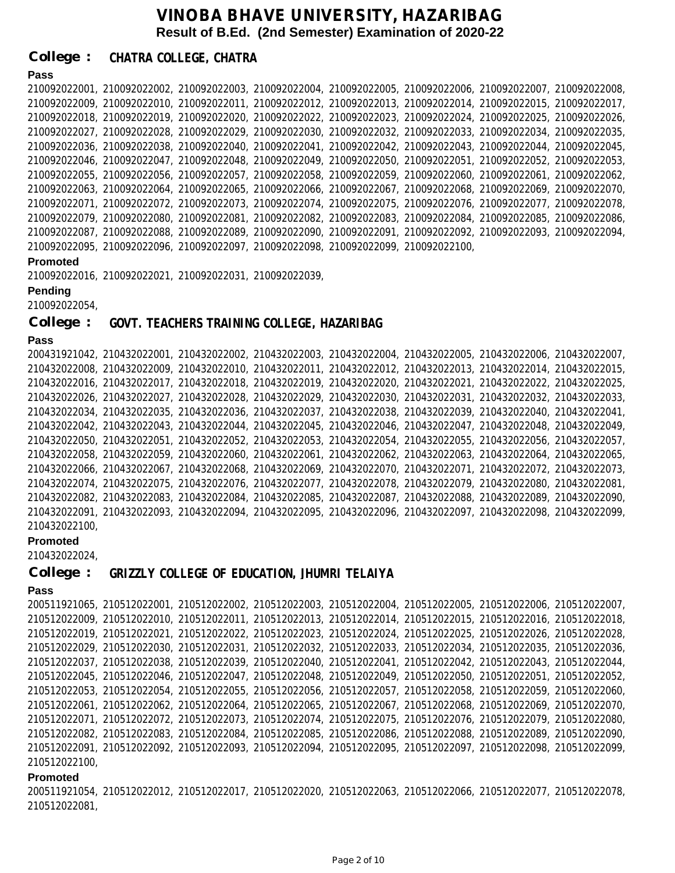**College : CHATRA COLLEGE, CHATRA**

## **Pass**

210092022001, 210092022002, 210092022003, 210092022004, 210092022005, 210092022006, 210092022007, 210092022008, 210092022009, 210092022010, 210092022011, 210092022012, 210092022013, 210092022014, 210092022015, 210092022017, 210092022018, 210092022019, 210092022020, 210092022022, 210092022023, 210092022024, 210092022025, 210092022026, 210092022027, 210092022028, 210092022029, 210092022030, 210092022032, 210092022033, 210092022034, 210092022035, 210092022036, 210092022038, 210092022040, 210092022041, 210092022042, 210092022043, 210092022044, 210092022045, 210092022046, 210092022047, 210092022048, 210092022049, 210092022050, 210092022051, 210092022052, 210092022053, 210092022055, 210092022056, 210092022057, 210092022058, 210092022059, 210092022060, 210092022061, 210092022062, 210092022063, 210092022064, 210092022065, 210092022066, 210092022067, 210092022068, 210092022069, 210092022070, 210092022071, 210092022072, 210092022073, 210092022074, 210092022075, 210092022076, 210092022077, 210092022078, 210092022079, 210092022080, 210092022081, 210092022082, 210092022083, 210092022084, 210092022085, 210092022086, 210092022087, 210092022088, 210092022089, 210092022090, 210092022091, 210092022092, 210092022093, 210092022094, 210092022095, 210092022096, 210092022097, 210092022098, 210092022099, 210092022100,

#### **Promoted**

210092022016, 210092022021, 210092022031, 210092022039,

#### **Pending**

210092022054,

**College : GOVT. TEACHERS TRAINING COLLEGE, HAZARIBAG**

## **Pass**

200431921042, 210432022001, 210432022002, 210432022003, 210432022004, 210432022005, 210432022006, 210432022007, 210432022008, 210432022009, 210432022010, 210432022011, 210432022012, 210432022013, 210432022014, 210432022015, 210432022016, 210432022017, 210432022018, 210432022019, 210432022020, 210432022021, 210432022022, 210432022025, 210432022026, 210432022027, 210432022028, 210432022029, 210432022030, 210432022031, 210432022032, 210432022033, 210432022034, 210432022035, 210432022036, 210432022037, 210432022038, 210432022039, 210432022040, 210432022041, 210432022042, 210432022043, 210432022044, 210432022045, 210432022046, 210432022047, 210432022048, 210432022049, 210432022050, 210432022051, 210432022052, 210432022053, 210432022054, 210432022055, 210432022056, 210432022057, 210432022058, 210432022059, 210432022060, 210432022061, 210432022062, 210432022063, 210432022064, 210432022065, 210432022066, 210432022067, 210432022068, 210432022069, 210432022070, 210432022071, 210432022072, 210432022073, 210432022074, 210432022075, 210432022076, 210432022077, 210432022078, 210432022079, 210432022080, 210432022081, 210432022082, 210432022083, 210432022084, 210432022085, 210432022087, 210432022088, 210432022089, 210432022090, 210432022091, 210432022093, 210432022094, 210432022095, 210432022096, 210432022097, 210432022098, 210432022099, 210432022100,

#### **Promoted**

210432022024,

```
College : 
            GRIZZLY COLLEGE OF EDUCATION, JHUMRI TELAIYA
```
## **Pass**

200511921065, 210512022001, 210512022002, 210512022003, 210512022004, 210512022005, 210512022006, 210512022007, 210512022009, 210512022010, 210512022011, 210512022013, 210512022014, 210512022015, 210512022016, 210512022018, 210512022019, 210512022021, 210512022022, 210512022023, 210512022024, 210512022025, 210512022026, 210512022028, 210512022029, 210512022030, 210512022031, 210512022032, 210512022033, 210512022034, 210512022035, 210512022036, 210512022037, 210512022038, 210512022039, 210512022040, 210512022041, 210512022042, 210512022043, 210512022044, 210512022045, 210512022046, 210512022047, 210512022048, 210512022049, 210512022050, 210512022051, 210512022052, 210512022053, 210512022054, 210512022055, 210512022056, 210512022057, 210512022058, 210512022059, 210512022060, 210512022061, 210512022062, 210512022064, 210512022065, 210512022067, 210512022068, 210512022069, 210512022070, 210512022071, 210512022072, 210512022073, 210512022074, 210512022075, 210512022076, 210512022079, 210512022080, 210512022082, 210512022083, 210512022084, 210512022085, 210512022086, 210512022088, 210512022089, 210512022090, 210512022091, 210512022092, 210512022093, 210512022094, 210512022095, 210512022097, 210512022098, 210512022099, 210512022100,

#### **Promoted**

200511921054, 210512022012, 210512022017, 210512022020, 210512022063, 210512022066, 210512022077, 210512022078, 210512022081,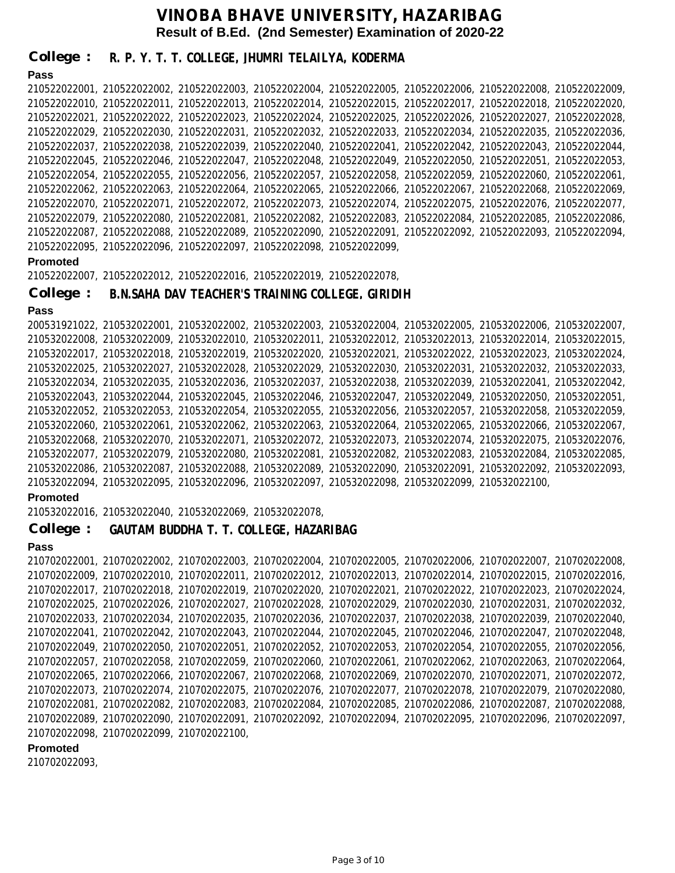**Pass Promoted Pass Promoted Pass** 210522022001, 210522022002, 210522022003, 210522022004, 210522022005, 210522022006, 210522022008, 210522022009, 210522022010, 210522022011, 210522022013, 210522022014, 210522022015, 210522022017, 210522022018, 210522022020, 210522022021, 210522022022, 210522022023, 210522022024, 210522022025, 210522022026, 210522022027, 210522022028, 210522022029, 210522022030, 210522022031, 210522022032, 210522022033, 210522022034, 210522022035, 210522022036, 210522022037, 210522022038, 210522022039, 210522022040, 210522022041, 210522022042, 210522022043, 210522022044, 210522022045, 210522022046, 210522022047, 210522022048, 210522022049, 210522022050, 210522022051, 210522022053, 210522022054, 210522022055, 210522022056, 210522022057, 210522022058, 210522022059, 210522022060, 210522022061, 210522022062, 210522022063, 210522022064, 210522022065, 210522022066, 210522022067, 210522022068, 210522022069, 210522022070, 210522022071, 210522022072, 210522022073, 210522022074, 210522022075, 210522022076, 210522022077, 210522022079, 210522022080, 210522022081, 210522022082, 210522022083, 210522022084, 210522022085, 210522022086, 210522022087, 210522022088, 210522022089, 210522022090, 210522022091, 210522022092, 210522022093, 210522022094, 210522022095, 210522022096, 210522022097, 210522022098, 210522022099, 210522022007, 210522022012, 210522022016, 210522022019, 210522022078, 200531921022, 210532022001, 210532022002, 210532022003, 210532022004, 210532022005, 210532022006, 210532022007, 210532022008, 210532022009, 210532022010, 210532022011, 210532022012, 210532022013, 210532022014, 210532022015, 210532022017, 210532022018, 210532022019, 210532022020, 210532022021, 210532022022, 210532022023, 210532022024, 210532022025, 210532022027, 210532022028, 210532022029, 210532022030, 210532022031, 210532022032, 210532022033, 210532022034, 210532022035, 210532022036, 210532022037, 210532022038, 210532022039, 210532022041, 210532022042, 210532022043, 210532022044, 210532022045, 210532022046, 210532022047, 210532022049, 210532022050, 210532022051, 210532022052, 210532022053, 210532022054, 210532022055, 210532022056, 210532022057, 210532022058, 210532022059, 210532022060, 210532022061, 210532022062, 210532022063, 210532022064, 210532022065, 210532022066, 210532022067, 210532022068, 210532022070, 210532022071, 210532022072, 210532022073, 210532022074, 210532022075, 210532022076, 210532022077, 210532022079, 210532022080, 210532022081, 210532022082, 210532022083, 210532022084, 210532022085, 210532022086, 210532022087, 210532022088, 210532022089, 210532022090, 210532022091, 210532022092, 210532022093, 210532022094, 210532022095, 210532022096, 210532022097, 210532022098, 210532022099, 210532022100, 210532022016, 210532022040, 210532022069, 210532022078, 210702022001, 210702022002, 210702022003, 210702022004, 210702022005, 210702022006, 210702022007, 210702022008, 210702022009, 210702022010, 210702022011, 210702022012, 210702022013, 210702022014, 210702022015, 210702022016, 210702022017, 210702022018, 210702022019, 210702022020, 210702022021, 210702022022, 210702022023, 210702022024, 210702022025, 210702022026, 210702022027, 210702022028, 210702022029, 210702022030, 210702022031, 210702022032, 210702022033, 210702022034, 210702022035, 210702022036, 210702022037, 210702022038, 210702022039, 210702022040, 210702022041, 210702022042, 210702022043, 210702022044, 210702022045, 210702022046, 210702022047, 210702022048, 210702022049, 210702022050, 210702022051, 210702022052, 210702022053, 210702022054, 210702022055, 210702022056, 210702022057, 210702022058, 210702022059, 210702022060, 210702022061, 210702022062, 210702022063, 210702022064, 210702022065, 210702022066, 210702022067, 210702022068, 210702022069, 210702022070, 210702022071, 210702022072, 210702022073, 210702022074, 210702022075, 210702022076, 210702022077, 210702022078, 210702022079, 210702022080, 210702022081, 210702022082, 210702022083, 210702022084, 210702022085, 210702022086, 210702022087, 210702022088, 210702022089, 210702022090, 210702022091, 210702022092, 210702022094, 210702022095, 210702022096, 210702022097, 210702022098, 210702022099, 210702022100, **College : College : College : R. P. Y. T. T. COLLEGE, JHUMRI TELAILYA, KODERMA B.N.SAHA DAV TEACHER'S TRAINING COLLEGE, GIRIDIH GAUTAM BUDDHA T. T. COLLEGE, HAZARIBAG**

#### **Promoted**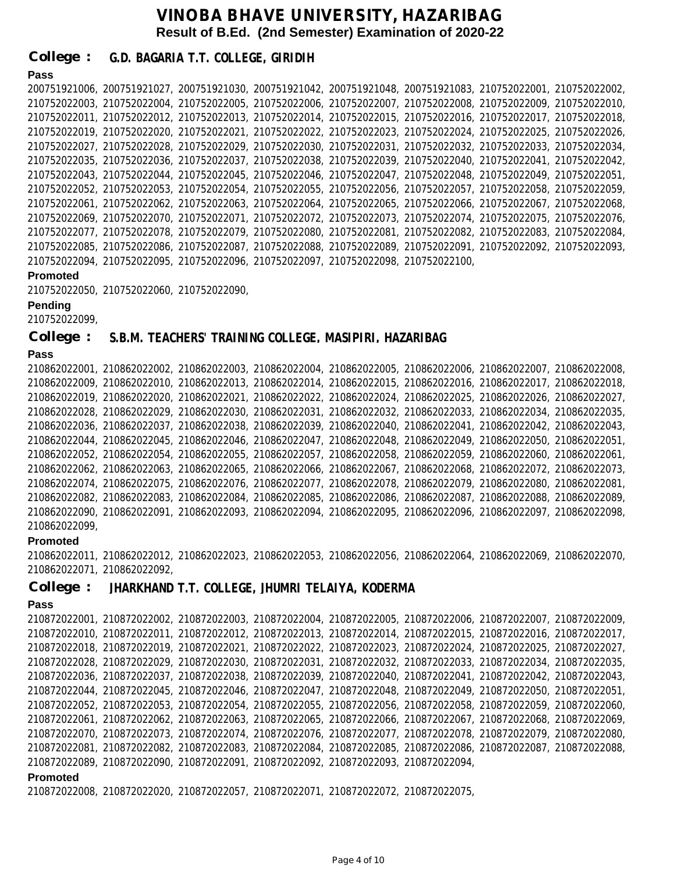**College : G.D. BAGARIA T.T. COLLEGE, GIRIDIH**

### **Pass**

```
200751921006, 200751921027, 200751921030, 200751921042, 200751921048, 200751921083, 210752022001, 210752022002,
210752022003, 210752022004, 210752022005, 210752022006, 210752022007, 210752022008, 210752022009, 210752022010,
210752022011, 210752022012, 210752022013, 210752022014, 210752022015, 210752022016, 210752022017, 210752022018,
210752022019, 210752022020, 210752022021, 210752022022, 210752022023, 210752022024, 210752022025, 210752022026,
210752022027, 210752022028, 210752022029, 210752022030, 210752022031, 210752022032, 210752022033, 210752022034,
210752022035, 210752022036, 210752022037, 210752022038, 210752022039, 210752022040, 210752022041, 210752022042,
210752022043, 210752022044, 210752022045, 210752022046, 210752022047, 210752022048, 210752022049, 210752022051,
210752022052, 210752022053, 210752022054, 210752022055, 210752022056, 210752022057, 210752022058, 210752022059,
210752022061, 210752022062, 210752022063, 210752022064, 210752022065, 210752022066, 210752022067, 210752022068,
210752022069, 210752022070, 210752022071, 210752022072, 210752022073, 210752022074, 210752022075, 210752022076,
210752022077, 210752022078, 210752022079, 210752022080, 210752022081, 210752022082, 210752022083, 210752022084,
210752022085, 210752022086, 210752022087, 210752022088, 210752022089, 210752022091, 210752022092, 210752022093,
210752022094, 210752022095, 210752022096, 210752022097, 210752022098, 210752022100,
```
#### **Promoted**

```
210752022050, 210752022060, 210752022090,
```
#### **Pending**

210752022099,

**College : S.B.M. TEACHERS' TRAINING COLLEGE, MASIPIRI, HAZARIBAG**

#### **Pass**

```
210862022001, 210862022002, 210862022003, 210862022004, 210862022005, 210862022006, 210862022007, 210862022008,
210862022009, 210862022010, 210862022013, 210862022014, 210862022015, 210862022016, 210862022017, 210862022018,
210862022019, 210862022020, 210862022021, 210862022022, 210862022024, 210862022025, 210862022026, 210862022027,
210862022028, 210862022029, 210862022030, 210862022031, 210862022032, 210862022033, 210862022034, 210862022035,
210862022036, 210862022037, 210862022038, 210862022039, 210862022040, 210862022041, 210862022042, 210862022043,
210862022044, 210862022045, 210862022046, 210862022047, 210862022048, 210862022049, 210862022050, 210862022051,
210862022052, 210862022054, 210862022055, 210862022057, 210862022058, 210862022059, 210862022060, 210862022061,
210862022062, 210862022063, 210862022065, 210862022066, 210862022067, 210862022068, 210862022072, 210862022073,
210862022074, 210862022075, 210862022076, 210862022077, 210862022078, 210862022079, 210862022080, 210862022081,
210862022082, 210862022083, 210862022084, 210862022085, 210862022086, 210862022087, 210862022088, 210862022089,
210862022090, 210862022091, 210862022093, 210862022094, 210862022095, 210862022096, 210862022097, 210862022098,
210862022099,
```
#### **Promoted**

210862022011, 210862022012, 210862022023, 210862022053, 210862022056, 210862022064, 210862022069, 210862022070, 210862022071, 210862022092,

**College : JHARKHAND T.T. COLLEGE, JHUMRI TELAIYA, KODERMA**

## **Pass**

```
Promoted
210872022001, 210872022002, 210872022003, 210872022004, 210872022005, 210872022006, 210872022007, 210872022009,
210872022010, 210872022011, 210872022012, 210872022013, 210872022014, 210872022015, 210872022016, 210872022017,
210872022018, 210872022019, 210872022021, 210872022022, 210872022023, 210872022024, 210872022025, 210872022027,
210872022028, 210872022029, 210872022030, 210872022031, 210872022032, 210872022033, 210872022034, 210872022035,
210872022036, 210872022037, 210872022038, 210872022039, 210872022040, 210872022041, 210872022042, 210872022043,
210872022044, 210872022045, 210872022046, 210872022047, 210872022048, 210872022049, 210872022050, 210872022051,
210872022052, 210872022053, 210872022054, 210872022055, 210872022056, 210872022058, 210872022059, 210872022060,
210872022061, 210872022062, 210872022063, 210872022065, 210872022066, 210872022067, 210872022068, 210872022069,
210872022070, 210872022073, 210872022074, 210872022076, 210872022077, 210872022078, 210872022079, 210872022080,
210872022081, 210872022082, 210872022083, 210872022084, 210872022085, 210872022086, 210872022087, 210872022088,
210872022089, 210872022090, 210872022091, 210872022092, 210872022093, 210872022094,
```
210872022008, 210872022020, 210872022057, 210872022071, 210872022072, 210872022075,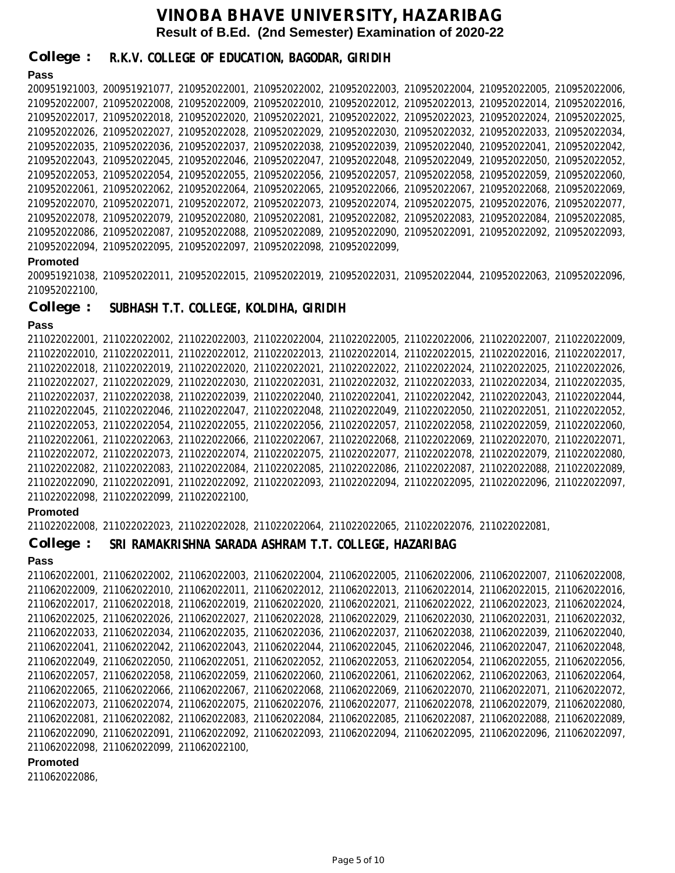**College : R.K.V. COLLEGE OF EDUCATION, BAGODAR, GIRIDIH**

## **Pass** 200951921003, 200951921077, 210952022001, 210952022002, 210952022003, 210952022004, 210952022005, 210952022006, 210952022007, 210952022008, 210952022009, 210952022010, 210952022012, 210952022013, 210952022014, 210952022016, 210952022017, 210952022018, 210952022020, 210952022021, 210952022022, 210952022023, 210952022024, 210952022025, 210952022026, 210952022027, 210952022028, 210952022029, 210952022030, 210952022032, 210952022033, 210952022034, 210952022035, 210952022036, 210952022037, 210952022038, 210952022039, 210952022040, 210952022041, 210952022042, 210952022043, 210952022045, 210952022046, 210952022047, 210952022048, 210952022049, 210952022050, 210952022052, 210952022053, 210952022054, 210952022055, 210952022056, 210952022057, 210952022058, 210952022059, 210952022060, 210952022061, 210952022062, 210952022064, 210952022065, 210952022066, 210952022067, 210952022068, 210952022069, 210952022070, 210952022071, 210952022072, 210952022073, 210952022074, 210952022075, 210952022076, 210952022077, 210952022078, 210952022079, 210952022080, 210952022081, 210952022082, 210952022083, 210952022084, 210952022085, 210952022086, 210952022087, 210952022088, 210952022089, 210952022090, 210952022091, 210952022092, 210952022093, 210952022094, 210952022095, 210952022097, 210952022098, 210952022099,

#### **Promoted**

200951921038, 210952022011, 210952022015, 210952022019, 210952022031, 210952022044, 210952022063, 210952022096, 210952022100,

**College : SUBHASH T.T. COLLEGE, KOLDIHA, GIRIDIH**

#### **Pass**

```
211022022001, 211022022002, 211022022003, 211022022004, 211022022005, 211022022006, 211022022007, 211022022009,
211022022010, 211022022011, 211022022012, 211022022013, 211022022014, 211022022015, 211022022016, 211022022017,
211022022018, 211022022019, 211022022020, 211022022021, 211022022022, 211022022024, 211022022025, 211022022026,
211022022027, 211022022029, 211022022030, 211022022031, 211022022032, 211022022033, 211022022034, 211022022035,
211022022037, 211022022038, 211022022039, 211022022040, 211022022041, 211022022042, 211022022043, 211022022044,
211022022045, 211022022046, 211022022047, 211022022048, 211022022049, 211022022050, 211022022051, 211022022052,
211022022053, 211022022054, 211022022055, 211022022056, 211022022057, 211022022058, 211022022059, 211022022060,
211022022061, 211022022063, 211022022066, 211022022067, 211022022068, 211022022069, 211022022070, 211022022071,
211022022072, 211022022073, 211022022074, 211022022075, 211022022077, 211022022078, 211022022079, 211022022080,
211022022082, 211022022083, 211022022084, 211022022085, 211022022086, 211022022087, 211022022088, 211022022089,
211022022090, 211022022091, 211022022092, 211022022093, 211022022094, 211022022095, 211022022096, 211022022097,
211022022098, 211022022099, 211022022100,
```
#### **Promoted**

211022022008, 211022022023, 211022022028, 211022022064, 211022022065, 211022022076, 211022022081,

#### **College : SRI RAMAKRISHNA SARADA ASHRAM T.T. COLLEGE, HAZARIBAG**

#### **Pass**

```
211062022001, 211062022002, 211062022003, 211062022004, 211062022005, 211062022006, 211062022007, 211062022008,
211062022009, 211062022010, 211062022011, 211062022012, 211062022013, 211062022014, 211062022015, 211062022016,
211062022017, 211062022018, 211062022019, 211062022020, 211062022021, 211062022022, 211062022023, 211062022024,
211062022025, 211062022026, 211062022027, 211062022028, 211062022029, 211062022030, 211062022031, 211062022032,
211062022033, 211062022034, 211062022035, 211062022036, 211062022037, 211062022038, 211062022039, 211062022040,
211062022041, 211062022042, 211062022043, 211062022044, 211062022045, 211062022046, 211062022047, 211062022048,
211062022049, 211062022050, 211062022051, 211062022052, 211062022053, 211062022054, 211062022055, 211062022056,
211062022057, 211062022058, 211062022059, 211062022060, 211062022061, 211062022062, 211062022063, 211062022064,
211062022065, 211062022066, 211062022067, 211062022068, 211062022069, 211062022070, 211062022071, 211062022072,
211062022073, 211062022074, 211062022075, 211062022076, 211062022077, 211062022078, 211062022079, 211062022080,
211062022081, 211062022082, 211062022083, 211062022084, 211062022085, 211062022087, 211062022088, 211062022089,
211062022090, 211062022091, 211062022092, 211062022093, 211062022094, 211062022095, 211062022096, 211062022097,
211062022098, 211062022099, 211062022100,
```
#### **Promoted**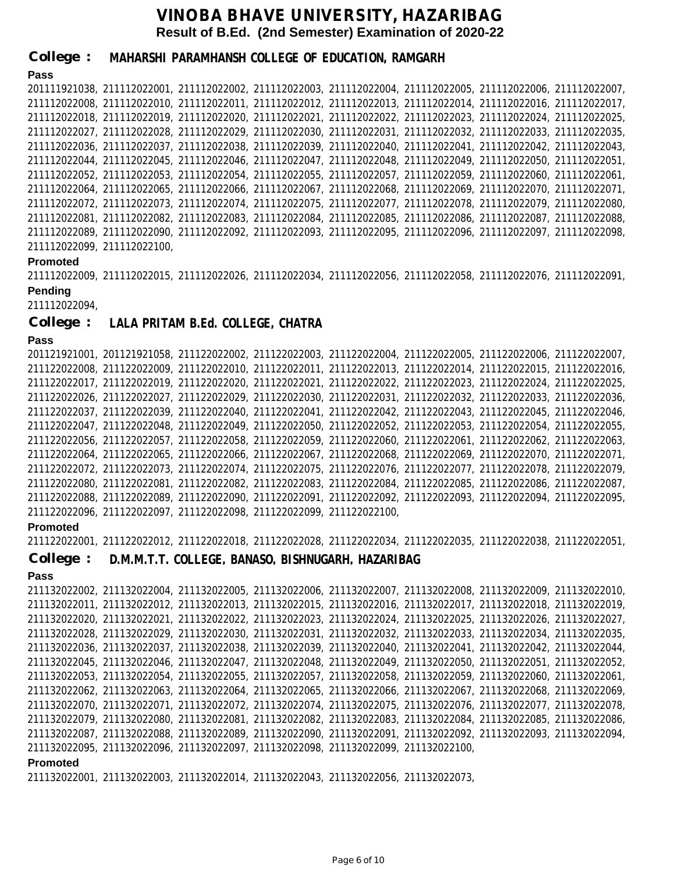**College : MAHARSHI PARAMHANSH COLLEGE OF EDUCATION, RAMGARH**

## **Pass**

201111921038, 211112022001, 211112022002, 211112022003, 211112022004, 211112022005, 211112022006, 211112022007, 211112022008, 211112022010, 211112022011, 211112022012, 211112022013, 211112022014, 211112022016, 211112022017, 211112022018, 211112022019, 211112022020, 211112022021, 211112022022, 211112022023, 211112022024, 211112022025, 211112022027, 211112022028, 211112022029, 211112022030, 211112022031, 211112022032, 211112022033, 211112022035, 211112022036, 211112022037, 211112022038, 211112022039, 211112022040, 211112022041, 211112022042, 211112022043, 211112022044, 211112022045, 211112022046, 211112022047, 211112022048, 211112022049, 211112022050, 211112022051, 211112022052, 211112022053, 211112022054, 211112022055, 211112022057, 211112022059, 211112022060, 211112022061, 211112022064, 211112022065, 211112022066, 211112022067, 211112022068, 211112022069, 211112022070, 211112022071, 211112022072, 211112022073, 211112022074, 211112022075, 211112022077, 211112022078, 211112022079, 211112022080, 211112022081, 211112022082, 211112022083, 211112022084, 211112022085, 211112022086, 211112022087, 211112022088, 211112022089, 211112022090, 211112022092, 211112022093, 211112022095, 211112022096, 211112022097, 211112022098, 211112022099, 211112022100,

#### **Promoted**

**Pending** 211112022009, 211112022015, 211112022026, 211112022034, 211112022056, 211112022058, 211112022076, 211112022091,

211112022094,

**College : LALA PRITAM B.Ed. COLLEGE, CHATRA**

### **Pass**

201121921001, 201121921058, 211122022002, 211122022003, 211122022004, 211122022005, 211122022006, 211122022007, 211122022008, 211122022009, 211122022010, 211122022011, 211122022013, 211122022014, 211122022015, 211122022016, 211122022017, 211122022019, 211122022020, 211122022021, 211122022022, 211122022023, 211122022024, 211122022025, 211122022026, 211122022027, 211122022029, 211122022030, 211122022031, 211122022032, 211122022033, 211122022036, 211122022037, 211122022039, 211122022040, 211122022041, 211122022042, 211122022043, 211122022045, 211122022046, 211122022047, 211122022048, 211122022049, 211122022050, 211122022052, 211122022053, 211122022054, 211122022055, 211122022056, 211122022057, 211122022058, 211122022059, 211122022060, 211122022061, 211122022062, 211122022063, 211122022064, 211122022065, 211122022066, 211122022067, 211122022068, 211122022069, 211122022070, 211122022071, 211122022072, 211122022073, 211122022074, 211122022075, 211122022076, 211122022077, 211122022078, 211122022079, 211122022080, 211122022081, 211122022082, 211122022083, 211122022084, 211122022085, 211122022086, 211122022087, 211122022088, 211122022089, 211122022090, 211122022091, 211122022092, 211122022093, 211122022094, 211122022095, 211122022096, 211122022097, 211122022098, 211122022099, 211122022100,

#### **Promoted**

211122022001, 211122022012, 211122022018, 211122022028, 211122022034, 211122022035, 211122022038, 211122022051, **College : D.M.M.T.T. COLLEGE, BANASO, BISHNUGARH, HAZARIBAG**

#### **Pass**

**Promoted** 211132022002, 211132022004, 211132022005, 211132022006, 211132022007, 211132022008, 211132022009, 211132022010, 211132022011, 211132022012, 211132022013, 211132022015, 211132022016, 211132022017, 211132022018, 211132022019, 211132022020, 211132022021, 211132022022, 211132022023, 211132022024, 211132022025, 211132022026, 211132022027, 211132022028, 211132022029, 211132022030, 211132022031, 211132022032, 211132022033, 211132022034, 211132022035, 211132022036, 211132022037, 211132022038, 211132022039, 211132022040, 211132022041, 211132022042, 211132022044, 211132022045, 211132022046, 211132022047, 211132022048, 211132022049, 211132022050, 211132022051, 211132022052, 211132022053, 211132022054, 211132022055, 211132022057, 211132022058, 211132022059, 211132022060, 211132022061, 211132022062, 211132022063, 211132022064, 211132022065, 211132022066, 211132022067, 211132022068, 211132022069, 211132022070, 211132022071, 211132022072, 211132022074, 211132022075, 211132022076, 211132022077, 211132022078, 211132022079, 211132022080, 211132022081, 211132022082, 211132022083, 211132022084, 211132022085, 211132022086, 211132022087, 211132022088, 211132022089, 211132022090, 211132022091, 211132022092, 211132022093, 211132022094, 211132022095, 211132022096, 211132022097, 211132022098, 211132022099, 211132022100,

211132022001, 211132022003, 211132022014, 211132022043, 211132022056, 211132022073,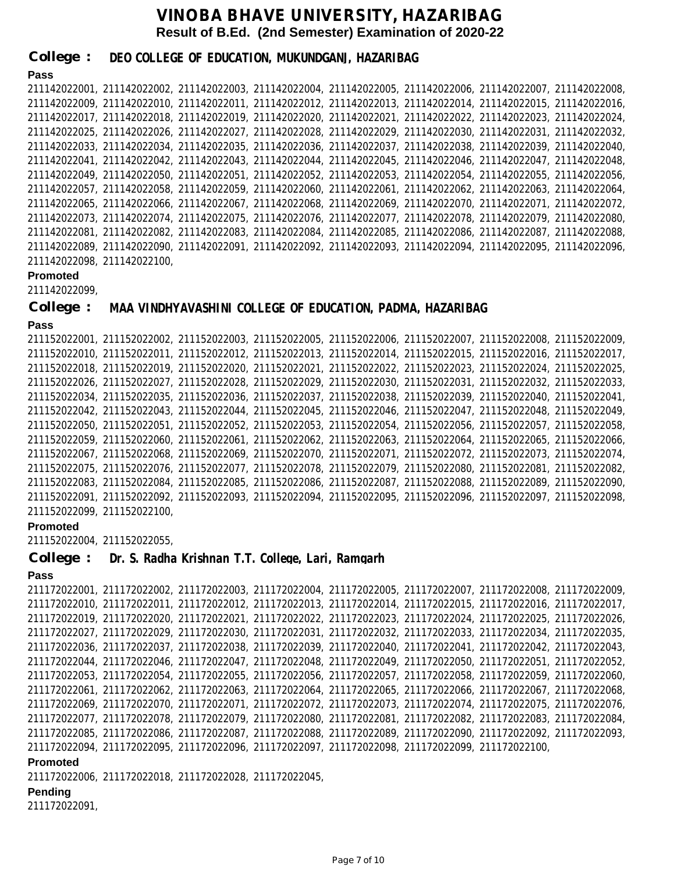**College : DEO COLLEGE OF EDUCATION, MUKUNDGANJ, HAZARIBAG**

## **Pass**

```
211142022001, 211142022002, 211142022003, 211142022004, 211142022005, 211142022006, 211142022007, 211142022008,
211142022009, 211142022010, 211142022011, 211142022012, 211142022013, 211142022014, 211142022015, 211142022016,
211142022017, 211142022018, 211142022019, 211142022020, 211142022021, 211142022022, 211142022023, 211142022024,
211142022025, 211142022026, 211142022027, 211142022028, 211142022029, 211142022030, 211142022031, 211142022032,
211142022033, 211142022034, 211142022035, 211142022036, 211142022037, 211142022038, 211142022039, 211142022040,
211142022041, 211142022042, 211142022043, 211142022044, 211142022045, 211142022046, 211142022047, 211142022048,
211142022049, 211142022050, 211142022051, 211142022052, 211142022053, 211142022054, 211142022055, 211142022056,
211142022057, 211142022058, 211142022059, 211142022060, 211142022061, 211142022062, 211142022063, 211142022064,
211142022065, 211142022066, 211142022067, 211142022068, 211142022069, 211142022070, 211142022071, 211142022072,
211142022073, 211142022074, 211142022075, 211142022076, 211142022077, 211142022078, 211142022079, 211142022080,
211142022081, 211142022082, 211142022083, 211142022084, 211142022085, 211142022086, 211142022087, 211142022088,
211142022089, 211142022090, 211142022091, 211142022092, 211142022093, 211142022094, 211142022095, 211142022096,
211142022098, 211142022100,
```
### **Promoted**

211142022099,

#### **College : MAA VINDHYAVASHINI COLLEGE OF EDUCATION, PADMA, HAZARIBAG**

#### **Pass**

```
211152022001, 211152022002, 211152022003, 211152022005, 211152022006, 211152022007, 211152022008, 211152022009,
211152022010, 211152022011, 211152022012, 211152022013, 211152022014, 211152022015, 211152022016, 211152022017,
211152022018, 211152022019, 211152022020, 211152022021, 211152022022, 211152022023, 211152022024, 211152022025,
211152022026, 211152022027, 211152022028, 211152022029, 211152022030, 211152022031, 211152022032, 211152022033,
211152022034, 211152022035, 211152022036, 211152022037, 211152022038, 211152022039, 211152022040, 211152022041,
211152022042, 211152022043, 211152022044, 211152022045, 211152022046, 211152022047, 211152022048, 211152022049,
211152022050, 211152022051, 211152022052, 211152022053, 211152022054, 211152022056, 211152022057, 211152022058,
211152022059, 211152022060, 211152022061, 211152022062, 211152022063, 211152022064, 211152022065, 211152022066,
211152022067, 211152022068, 211152022069, 211152022070, 211152022071, 211152022072, 211152022073, 211152022074,
211152022075, 211152022076, 211152022077, 211152022078, 211152022079, 211152022080, 211152022081, 211152022082,
211152022083, 211152022084, 211152022085, 211152022086, 211152022087, 211152022088, 211152022089, 211152022090,
211152022091, 211152022092, 211152022093, 211152022094, 211152022095, 211152022096, 211152022097, 211152022098,
211152022099, 211152022100,
```
#### **Promoted**

211152022004, 211152022055,

```
College : 
             Dr. S. Radha Krishnan T.T. College, Lari, Ramgarh
```
## **Pass**

```
211172022001, 211172022002, 211172022003, 211172022004, 211172022005, 211172022007, 211172022008, 211172022009,
211172022010, 211172022011, 211172022012, 211172022013, 211172022014, 211172022015, 211172022016, 211172022017,
211172022019, 211172022020, 211172022021, 211172022022, 211172022023, 211172022024, 211172022025, 211172022026,
211172022027, 211172022029, 211172022030, 211172022031, 211172022032, 211172022033, 211172022034, 211172022035,
211172022036, 211172022037, 211172022038, 211172022039, 211172022040, 211172022041, 211172022042, 211172022043,
211172022044, 211172022046, 211172022047, 211172022048, 211172022049, 211172022050, 211172022051, 211172022052,
211172022053, 211172022054, 211172022055, 211172022056, 211172022057, 211172022058, 211172022059, 211172022060,
211172022061, 211172022062, 211172022063, 211172022064, 211172022065, 211172022066, 211172022067, 211172022068,
211172022069, 211172022070, 211172022071, 211172022072, 211172022073, 211172022074, 211172022075, 211172022076,
211172022077, 211172022078, 211172022079, 211172022080, 211172022081, 211172022082, 211172022083, 211172022084,
211172022085, 211172022086, 211172022087, 211172022088, 211172022089, 211172022090, 211172022092, 211172022093,
211172022094, 211172022095, 211172022096, 211172022097, 211172022098, 211172022099, 211172022100,
```
#### **Promoted**

211172022006, 211172022018, 211172022028, 211172022045,

#### **Pending**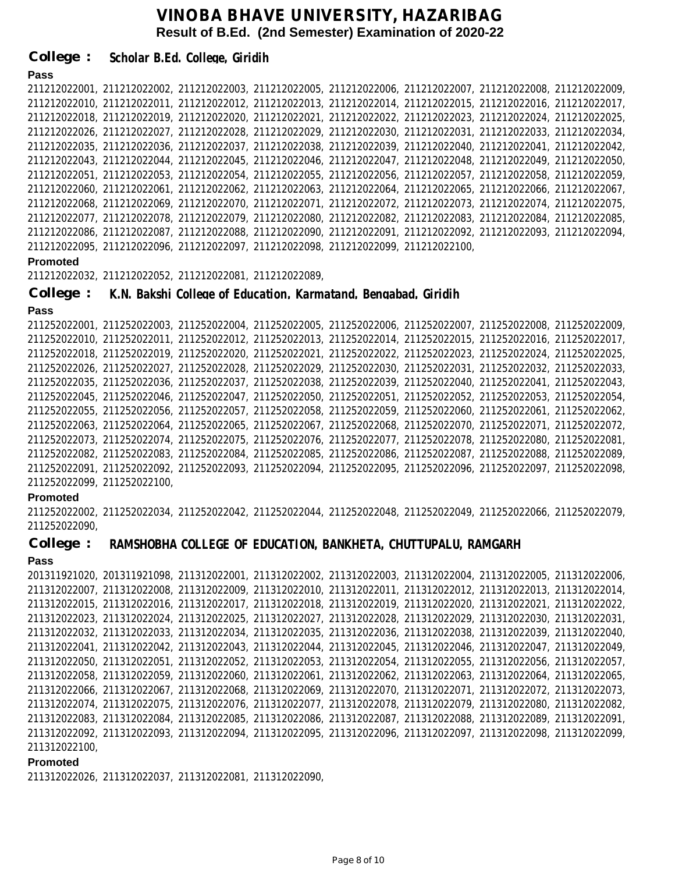**Pass Promoted Pass Promoted** 211212022001, 211212022002, 211212022003, 211212022005, 211212022006, 211212022007, 211212022008, 211212022009, 211212022010, 211212022011, 211212022012, 211212022013, 211212022014, 211212022015, 211212022016, 211212022017, 211212022018, 211212022019, 211212022020, 211212022021, 211212022022, 211212022023, 211212022024, 211212022025, 211212022026, 211212022027, 211212022028, 211212022029, 211212022030, 211212022031, 211212022033, 211212022034, 211212022035, 211212022036, 211212022037, 211212022038, 211212022039, 211212022040, 211212022041, 211212022042, 211212022043, 211212022044, 211212022045, 211212022046, 211212022047, 211212022048, 211212022049, 211212022050, 211212022051, 211212022053, 211212022054, 211212022055, 211212022056, 211212022057, 211212022058, 211212022059, 211212022060, 211212022061, 211212022062, 211212022063, 211212022064, 211212022065, 211212022066, 211212022067, 211212022068, 211212022069, 211212022070, 211212022071, 211212022072, 211212022073, 211212022074, 211212022075, 211212022077, 211212022078, 211212022079, 211212022080, 211212022082, 211212022083, 211212022084, 211212022085, 211212022086, 211212022087, 211212022088, 211212022090, 211212022091, 211212022092, 211212022093, 211212022094, 211212022095, 211212022096, 211212022097, 211212022098, 211212022099, 211212022100, 211212022032, 211212022052, 211212022081, 211212022089, 211252022001, 211252022003, 211252022004, 211252022005, 211252022006, 211252022007, 211252022008, 211252022009, 211252022010, 211252022011, 211252022012, 211252022013, 211252022014, 211252022015, 211252022016, 211252022017, 211252022018, 211252022019, 211252022020, 211252022021, 211252022022, 211252022023, 211252022024, 211252022025, 211252022026, 211252022027, 211252022028, 211252022029, 211252022030, 211252022031, 211252022032, 211252022033, 211252022035, 211252022036, 211252022037, 211252022038, 211252022039, 211252022040, 211252022041, 211252022043, 211252022045, 211252022046, 211252022047, 211252022050, 211252022051, 211252022052, 211252022053, 211252022054, 211252022055, 211252022056, 211252022057, 211252022058, 211252022059, 211252022060, 211252022061, 211252022062, 211252022063, 211252022064, 211252022065, 211252022067, 211252022068, 211252022070, 211252022071, 211252022072, 211252022073, 211252022074, 211252022075, 211252022076, 211252022077, 211252022078, 211252022080, 211252022081, 211252022082, 211252022083, 211252022084, 211252022085, 211252022086, 211252022087, 211252022088, 211252022089, 211252022091, 211252022092, 211252022093, 211252022094, 211252022095, 211252022096, 211252022097, 211252022098, 211252022099, 211252022100, 211252022002, 211252022034, 211252022042, 211252022044, 211252022048, 211252022049, 211252022066, 211252022079, 211252022090, **College : College : Scholar B.Ed. College, Giridih K.N. Bakshi College of Education, Karmatand, Bengabad, Giridih**

**College : RAMSHOBHA COLLEGE OF EDUCATION, BANKHETA, CHUTTUPALU, RAMGARH**

#### **Pass**

201311921020, 201311921098, 211312022001, 211312022002, 211312022003, 211312022004, 211312022005, 211312022006, 211312022007, 211312022008, 211312022009, 211312022010, 211312022011, 211312022012, 211312022013, 211312022014, 211312022015, 211312022016, 211312022017, 211312022018, 211312022019, 211312022020, 211312022021, 211312022022, 211312022023, 211312022024, 211312022025, 211312022027, 211312022028, 211312022029, 211312022030, 211312022031, 211312022032, 211312022033, 211312022034, 211312022035, 211312022036, 211312022038, 211312022039, 211312022040, 211312022041, 211312022042, 211312022043, 211312022044, 211312022045, 211312022046, 211312022047, 211312022049, 211312022050, 211312022051, 211312022052, 211312022053, 211312022054, 211312022055, 211312022056, 211312022057, 211312022058, 211312022059, 211312022060, 211312022061, 211312022062, 211312022063, 211312022064, 211312022065, 211312022066, 211312022067, 211312022068, 211312022069, 211312022070, 211312022071, 211312022072, 211312022073, 211312022074, 211312022075, 211312022076, 211312022077, 211312022078, 211312022079, 211312022080, 211312022082, 211312022083, 211312022084, 211312022085, 211312022086, 211312022087, 211312022088, 211312022089, 211312022091, 211312022092, 211312022093, 211312022094, 211312022095, 211312022096, 211312022097, 211312022098, 211312022099, 211312022100,

#### **Promoted**

211312022026, 211312022037, 211312022081, 211312022090,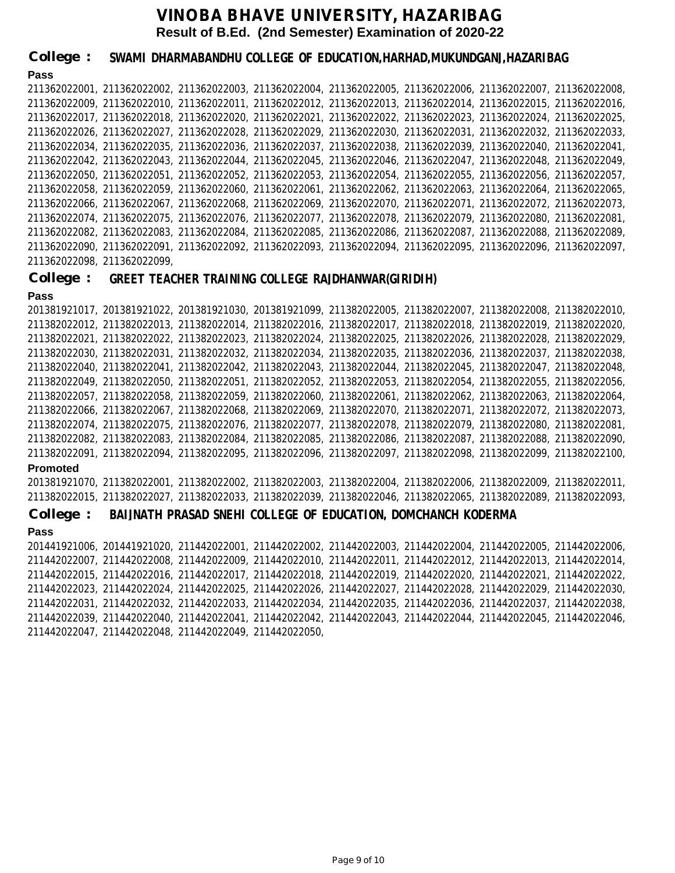**Pass** 211362022001, 211362022002, 211362022003, 211362022004, 211362022005, 211362022006, 211362022007, 211362022008, 211362022009, 211362022010, 211362022011, 211362022012, 211362022013, 211362022014, 211362022015, 211362022016, 211362022017, 211362022018, 211362022020, 211362022021, 211362022022, 211362022023, 211362022024, 211362022025, 211362022026, 211362022027, 211362022028, 211362022029, 211362022030, 211362022031, 211362022032, 211362022033, 211362022034, 211362022035, 211362022036, 211362022037, 211362022038, 211362022039, 211362022040, 211362022041, 211362022042, 211362022043, 211362022044, 211362022045, 211362022046, 211362022047, 211362022048, 211362022049, 211362022050, 211362022051, 211362022052, 211362022053, 211362022054, 211362022055, 211362022056, 211362022057, 211362022058, 211362022059, 211362022060, 211362022061, 211362022062, 211362022063, 211362022064, 211362022065, 211362022066, 211362022067, 211362022068, 211362022069, 211362022070, 211362022071, 211362022072, 211362022073, 211362022074, 211362022075, 211362022076, 211362022077, 211362022078, 211362022079, 211362022080, 211362022081, 211362022082, 211362022083, 211362022084, 211362022085, 211362022086, 211362022087, 211362022088, 211362022089, 211362022090, 211362022091, 211362022092, 211362022093, 211362022094, 211362022095, 211362022096, 211362022097, 211362022098, 211362022099, **College : SWAMI DHARMABANDHU COLLEGE OF EDUCATION,HARHAD,MUKUNDGANJ,HAZARIBAG**

**College : GREET TEACHER TRAINING COLLEGE RAJDHANWAR(GIRIDIH)**

#### **Pass**

**Promoted** 201381921017, 201381921022, 201381921030, 201381921099, 211382022005, 211382022007, 211382022008, 211382022010, 211382022012, 211382022013, 211382022014, 211382022016, 211382022017, 211382022018, 211382022019, 211382022020, 211382022021, 211382022022, 211382022023, 211382022024, 211382022025, 211382022026, 211382022028, 211382022029, 211382022030, 211382022031, 211382022032, 211382022034, 211382022035, 211382022036, 211382022037, 211382022038, 211382022040, 211382022041, 211382022042, 211382022043, 211382022044, 211382022045, 211382022047, 211382022048, 211382022049, 211382022050, 211382022051, 211382022052, 211382022053, 211382022054, 211382022055, 211382022056, 211382022057, 211382022058, 211382022059, 211382022060, 211382022061, 211382022062, 211382022063, 211382022064, 211382022066, 211382022067, 211382022068, 211382022069, 211382022070, 211382022071, 211382022072, 211382022073, 211382022074, 211382022075, 211382022076, 211382022077, 211382022078, 211382022079, 211382022080, 211382022081, 211382022082, 211382022083, 211382022084, 211382022085, 211382022086, 211382022087, 211382022088, 211382022090, 211382022091, 211382022094, 211382022095, 211382022096, 211382022097, 211382022098, 211382022099, 211382022100, 201381921070, 211382022001, 211382022002, 211382022003, 211382022004, 211382022006, 211382022009, 211382022011, 211382022015, 211382022027, 211382022033, 211382022039, 211382022046, 211382022065, 211382022089, 211382022093,

**College : BAIJNATH PRASAD SNEHI COLLEGE OF EDUCATION, DOMCHANCH KODERMA**

#### **Pass**

201441921006, 201441921020, 211442022001, 211442022002, 211442022003, 211442022004, 211442022005, 211442022006, 211442022007, 211442022008, 211442022009, 211442022010, 211442022011, 211442022012, 211442022013, 211442022014, 211442022015, 211442022016, 211442022017, 211442022018, 211442022019, 211442022020, 211442022021, 211442022022, 211442022023, 211442022024, 211442022025, 211442022026, 211442022027, 211442022028, 211442022029, 211442022030, 211442022031, 211442022032, 211442022033, 211442022034, 211442022035, 211442022036, 211442022037, 211442022038, 211442022039, 211442022040, 211442022041, 211442022042, 211442022043, 211442022044, 211442022045, 211442022046, 211442022047, 211442022048, 211442022049, 211442022050,